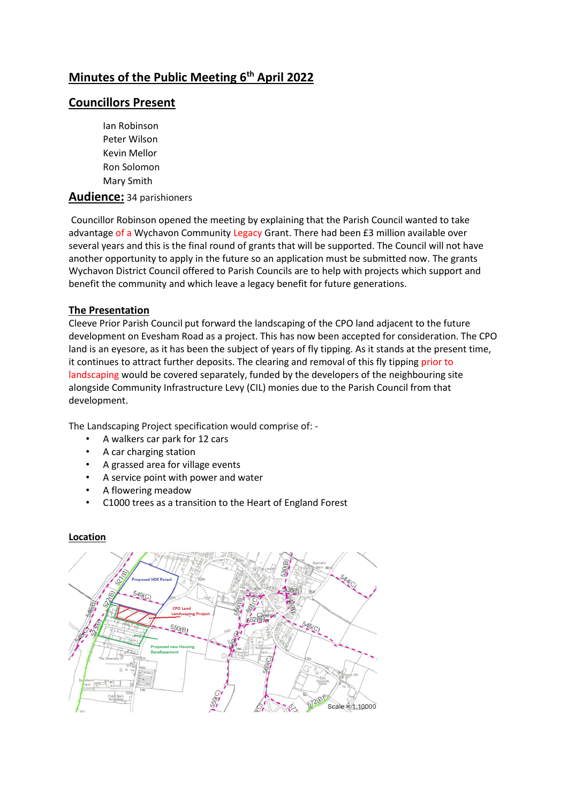# **Minutes of the Public Meeting 6th April 2022**

# **Councillors Present**

Ian Robinson Peter Wilson Kevin Mellor Ron Solomon Mary Smith

#### **Audience:** 34 parishioners

Councillor Robinson opened the meeting by explaining that the Parish Council wanted to take advantage of a Wychavon Community Legacy Grant. There had been £3 million available over several years and this is the final round of grants that will be supported. The Council will not have another opportunity to apply in the future so an application must be submitted now. The grants Wychavon District Council offered to Parish Councils are to help with projects which support and benefit the community and which leave a legacy benefit for future generations.

#### **The Presentation**

Cleeve Prior Parish Council put forward the landscaping of the CPO land adjacent to the future development on Evesham Road as a project. This has now been accepted for consideration. The CPO land is an eyesore, as it has been the subject of years of fly tipping. As it stands at the present time, it continues to attract further deposits. The clearing and removal of this fly tipping prior to landscaping would be covered separately, funded by the developers of the neighbouring site alongside Community Infrastructure Levy (CIL) monies due to the Parish Council from that development.

The Landscaping Project specification would comprise of: -

- A walkers car park for 12 cars
- A car charging station
- A grassed area for village events
- A service point with power and water
- A flowering meadow
- C1000 trees as a transition to the Heart of England Forest

#### **Location**

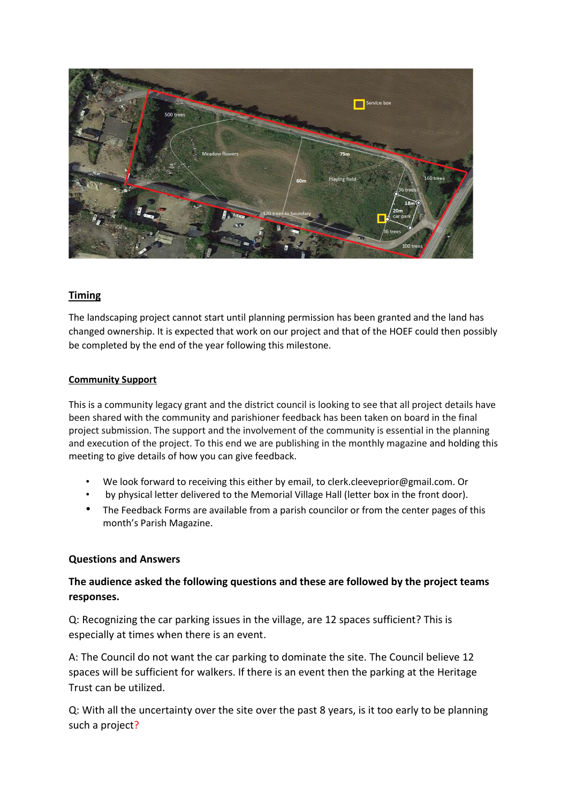

# **Timing**

The landscaping project cannot start until planning permission has been granted and the land has changed ownership. It is expected that work on our project and that of the HOEF could then possibly be completed by the end of the year following this milestone.

#### **Community Support**

This is a community legacy grant and the district council is looking to see that all project details have been shared with the community and parishioner feedback has been taken on board in the final project submission. The support and the involvement of the community is essential in the planning and execution of the project. To this end we are publishing in the monthly magazine and holding this meeting to give details of how you can give feedback.

- We look forward to receiving this either by email, to clerk.cleeveprior@gmail.com. Or
- by physical letter delivered to the Memorial Village Hall (letter box in the front door).
- The Feedback Forms are available from a parish councilor or from the center pages of this month's Parish Magazine.

#### **Questions and Answers**

# **The audience asked the following questions and these are followed by the project teams responses.**

Q: Recognizing the car parking issues in the village, are 12 spaces sufficient? This is especially at times when there is an event.

A: The Council do not want the car parking to dominate the site. The Council believe 12 spaces will be sufficient for walkers. If there is an event then the parking at the Heritage Trust can be utilized.

Q: With all the uncertainty over the site over the past 8 years, is it too early to be planning such a project?